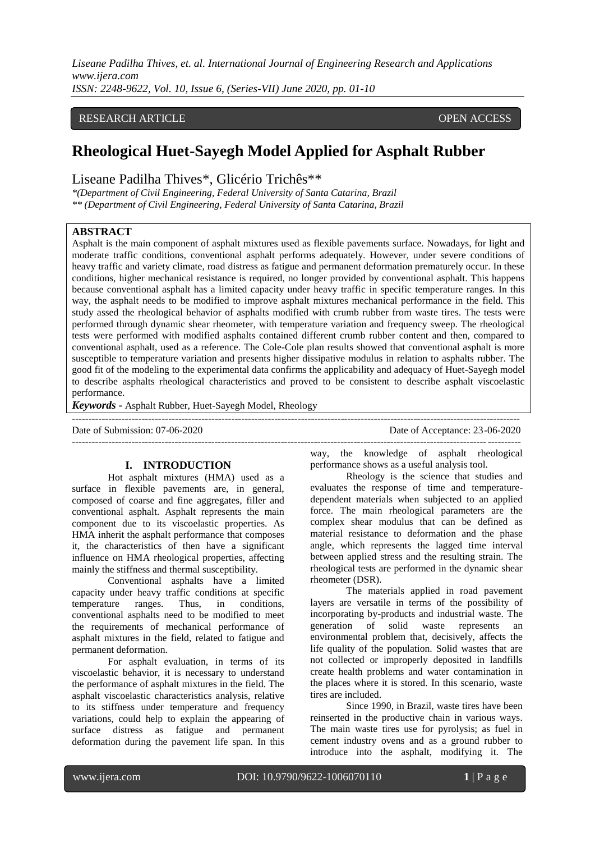*ISSN: 2248-9622, Vol. 10, Issue 6, (Series-VII) June 2020, pp. 01-10*

## RESEARCH ARTICLE **CONSERVERS** OPEN ACCESS

# **Rheological Huet-Sayegh Model Applied for Asphalt Rubber**

## Liseane Padilha Thives\*, Glicério Trichês\*\*

*\*(Department of Civil Engineering, Federal University of Santa Catarina, Brazil \*\* (Department of Civil Engineering, Federal University of Santa Catarina, Brazil*

## **ABSTRACT**

Asphalt is the main component of asphalt mixtures used as flexible pavements surface. Nowadays, for light and moderate traffic conditions, conventional asphalt performs adequately. However, under severe conditions of heavy traffic and variety climate, road distress as fatigue and permanent deformation prematurely occur. In these conditions, higher mechanical resistance is required, no longer provided by conventional asphalt. This happens because conventional asphalt has a limited capacity under heavy traffic in specific temperature ranges. In this way, the asphalt needs to be modified to improve asphalt mixtures mechanical performance in the field. This study assed the rheological behavior of asphalts modified with crumb rubber from waste tires. The tests were performed through dynamic shear rheometer, with temperature variation and frequency sweep. The rheological tests were performed with modified asphalts contained different crumb rubber content and then, compared to conventional asphalt, used as a reference. The Cole-Cole plan results showed that conventional asphalt is more susceptible to temperature variation and presents higher dissipative modulus in relation to asphalts rubber. The good fit of the modeling to the experimental data confirms the applicability and adequacy of Huet-Sayegh model to describe asphalts rheological characteristics and proved to be consistent to describe asphalt viscoelastic performance.

---------------------------------------------------------------------------------------------------------------------------------------

---------------------------------------------------------------------------------------------------------------------------------------

*Keywords* **-** Asphalt Rubber, Huet-Sayegh Model, Rheology

Date of Submission: 07-06-2020 Date of Acceptance: 23-06-2020

#### **I. INTRODUCTION**

Hot asphalt mixtures (HMA) used as a surface in flexible pavements are, in general, composed of coarse and fine aggregates, filler and conventional asphalt. Asphalt represents the main component due to its viscoelastic properties. As HMA inherit the asphalt performance that composes it, the characteristics of then have a significant influence on HMA rheological properties, affecting mainly the stiffness and thermal susceptibility.

Conventional asphalts have a limited capacity under heavy traffic conditions at specific temperature ranges. Thus, in conditions, conventional asphalts need to be modified to meet the requirements of mechanical performance of asphalt mixtures in the field, related to fatigue and permanent deformation.

For asphalt evaluation, in terms of its viscoelastic behavior, it is necessary to understand the performance of asphalt mixtures in the field. The asphalt viscoelastic characteristics analysis, relative to its stiffness under temperature and frequency variations, could help to explain the appearing of surface distress as fatigue and permanent deformation during the pavement life span. In this

way, the knowledge of asphalt rheological performance shows as a useful analysis tool.

Rheology is the science that studies and evaluates the response of time and temperaturedependent materials when subjected to an applied force. The main rheological parameters are the complex shear modulus that can be defined as material resistance to deformation and the phase angle, which represents the lagged time interval between applied stress and the resulting strain. The rheological tests are performed in the dynamic shear rheometer (DSR).

The materials applied in road pavement layers are versatile in terms of the possibility of incorporating by-products and industrial waste. The generation of solid waste represents an environmental problem that, decisively, affects the life quality of the population. Solid wastes that are not collected or improperly deposited in landfills create health problems and water contamination in the places where it is stored. In this scenario, waste tires are included.

Since 1990, in Brazil, waste tires have been reinserted in the productive chain in various ways. The main waste tires use for pyrolysis; as fuel in cement industry ovens and as a ground rubber to introduce into the asphalt, modifying it. The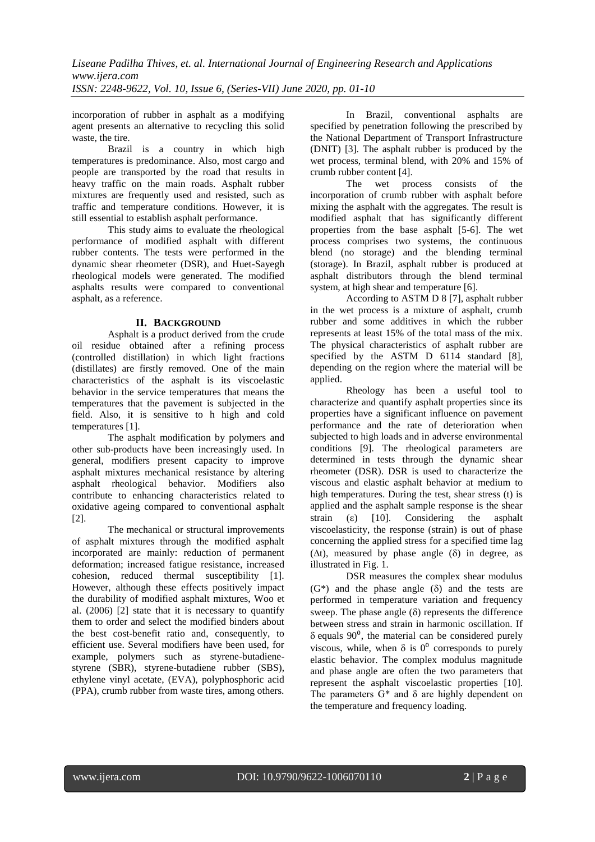incorporation of rubber in asphalt as a modifying agent presents an alternative to recycling this solid waste, the tire.

Brazil is a country in which high temperatures is predominance. Also, most cargo and people are transported by the road that results in heavy traffic on the main roads. Asphalt rubber mixtures are frequently used and resisted, such as traffic and temperature conditions. However, it is still essential to establish asphalt performance.

This study aims to evaluate the rheological performance of modified asphalt with different rubber contents. The tests were performed in the dynamic shear rheometer (DSR), and Huet-Sayegh rheological models were generated. The modified asphalts results were compared to conventional asphalt, as a reference.

## **II. BACKGROUND**

Asphalt is a product derived from the crude oil residue obtained after a refining process (controlled distillation) in which light fractions (distillates) are firstly removed. One of the main characteristics of the asphalt is its viscoelastic behavior in the service temperatures that means the temperatures that the pavement is subjected in the field. Also, it is sensitive to h high and cold temperatures [1].

The asphalt modification by polymers and other sub-products have been increasingly used. In general, modifiers present capacity to improve asphalt mixtures mechanical resistance by altering asphalt rheological behavior. Modifiers also contribute to enhancing characteristics related to oxidative ageing compared to conventional asphalt [2].

The mechanical or structural improvements of asphalt mixtures through the modified asphalt incorporated are mainly: reduction of permanent deformation; increased fatigue resistance, increased cohesion, reduced thermal susceptibility [1]. However, although these effects positively impact the durability of modified asphalt mixtures, Woo et al. (2006) [2] state that it is necessary to quantify them to order and select the modified binders about the best cost-benefit ratio and, consequently, to efficient use. Several modifiers have been used, for example, polymers such as styrene-butadienestyrene (SBR), styrene-butadiene rubber (SBS), ethylene vinyl acetate, (EVA), polyphosphoric acid (PPA), crumb rubber from waste tires, among others.

In Brazil, conventional asphalts are specified by penetration following the prescribed by the National Department of Transport Infrastructure (DNIT) [3]. The asphalt rubber is produced by the wet process, terminal blend, with 20% and 15% of crumb rubber content [4].

The wet process consists of the incorporation of crumb rubber with asphalt before mixing the asphalt with the aggregates. The result is modified asphalt that has significantly different properties from the base asphalt [5-6]. The wet process comprises two systems, the continuous blend (no storage) and the blending terminal (storage). In Brazil, asphalt rubber is produced at asphalt distributors through the blend terminal system, at high shear and temperature [6].

According to ASTM D 8 [7], asphalt rubber in the wet process is a mixture of asphalt, crumb rubber and some additives in which the rubber represents at least 15% of the total mass of the mix. The physical characteristics of asphalt rubber are specified by the ASTM D 6114 standard [8], depending on the region where the material will be applied.

Rheology has been a useful tool to characterize and quantify asphalt properties since its properties have a significant influence on pavement performance and the rate of deterioration when subjected to high loads and in adverse environmental conditions [9]. The rheological parameters are determined in tests through the dynamic shear rheometer (DSR). DSR is used to characterize the viscous and elastic asphalt behavior at medium to high temperatures. During the test, shear stress (t) is applied and the asphalt sample response is the shear strain ( $\varepsilon$ ) [10]. Considering the asphalt viscoelasticity, the response (strain) is out of phase concerning the applied stress for a specified time lag ( $\Delta t$ ), measured by phase angle ( $\delta$ ) in degree, as illustrated in Fig. 1.

DSR measures the complex shear modulus  $(G^*)$  and the phase angle  $(\delta)$  and the tests are performed in temperature variation and frequency sweep. The phase angle  $(\delta)$  represents the difference between stress and strain in harmonic oscillation. If  $\delta$  equals 90<sup>0</sup>, the material can be considered purely viscous, while, when  $\delta$  is  $0^0$  corresponds to purely elastic behavior. The complex modulus magnitude and phase angle are often the two parameters that represent the asphalt viscoelastic properties [10]. The parameters G\* and δ are highly dependent on the temperature and frequency loading.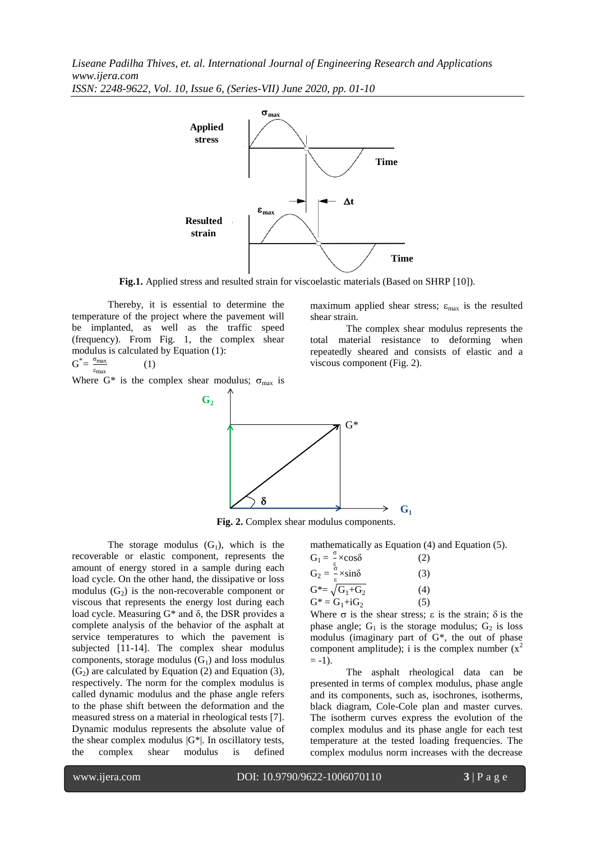*Liseane Padilha Thives, et. al. International Journal of Engineering Research and Applications www.ijera.com ISSN: 2248-9622, Vol. 10, Issue 6, (Series-VII) June 2020, pp. 01-10*



Fig.1. Applied stress and resulted strain for viscoelastic materials (Based on SHRP [10]).

shear strain.

viscous component (Fig. 2).

Thereby, it is essential to determine the temperature of the project where the pavement will be implanted, as well as the traffic speed (frequency). From Fig. 1, the complex shear modulus is calculated by Equation (1):  $G^* = \frac{\sigma_{\text{max}}}{g}$ (1)

εmax Where G\* is the complex shear modulus;  $\sigma_{\text{max}}$  is



**Fig. 2.** Complex shear modulus components.

The storage modulus  $(G_1)$ , which is the recoverable or elastic component, represents the amount of energy stored in a sample during each load cycle. On the other hand, the dissipative or loss modulus  $(G_2)$  is the non-recoverable component or viscous that represents the energy lost during each load cycle. Measuring G\* and δ, the DSR provides a complete analysis of the behavior of the asphalt at service temperatures to which the pavement is subjected [11-14]. The complex shear modulus components, storage modulus  $(G_1)$  and loss modulus  $(G<sub>2</sub>)$  are calculated by Equation (2) and Equation (3), respectively. The norm for the complex modulus is called dynamic modulus and the phase angle refers to the phase shift between the deformation and the measured stress on a material in rheological tests [7]. Dynamic modulus represents the absolute value of the shear complex modulus  $|G^*|$ . In oscillatory tests, the complex shear modulus is defined mathematically as Equation (4) and Equation (5). ζ

**G<sup>1</sup>**

maximum applied shear stress;  $\varepsilon_{\text{max}}$  is the resulted

total material resistance to deforming when repeatedly sheared and consists of elastic and a

The complex shear modulus represents the

$$
G_1 = \frac{9}{\epsilon} \times \cos\delta
$$
 (2)  
\n
$$
G_2 = \frac{6}{\epsilon} \times \sin\delta
$$
 (3)  
\n
$$
G^* = \sqrt{G_1 + G_2}
$$
 (4)  
\n
$$
G^* = G_1 + iG_2
$$
 (5)

Where  $\sigma$  is the shear stress;  $\varepsilon$  is the strain;  $\delta$  is the phase angle;  $G_1$  is the storage modulus;  $G_2$  is loss modulus (imaginary part of G\*, the out of phase component amplitude); i is the complex number  $(x^2)$  $= -1$ ).

The asphalt rheological data can be presented in terms of complex modulus, phase angle and its components, such as, isochrones, isotherms, black diagram, Cole-Cole plan and master curves. The isotherm curves express the evolution of the complex modulus and its phase angle for each test temperature at the tested loading frequencies. The complex modulus norm increases with the decrease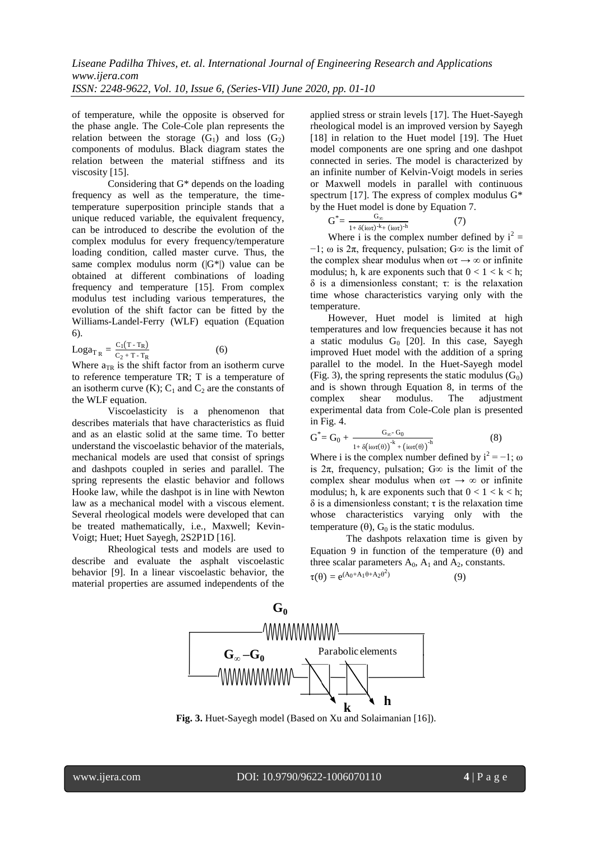of temperature, while the opposite is observed for the phase angle. The Cole-Cole plan represents the relation between the storage  $(G_1)$  and loss  $(G_2)$ components of modulus. Black diagram states the relation between the material stiffness and its viscosity [15].

Considering that G\* depends on the loading frequency as well as the temperature, the timetemperature superposition principle stands that a unique reduced variable, the equivalent frequency, can be introduced to describe the evolution of the complex modulus for every frequency/temperature loading condition, called master curve. Thus, the same complex modulus norm  $(|G^*|)$  value can be obtained at different combinations of loading frequency and temperature [15]. From complex modulus test including various temperatures, the evolution of the shift factor can be fitted by the Williams-Landel-Ferry (WLF) equation (Equation 6).

 $\text{Loga}_{T_R} = \frac{C_1 (T - T_R)}{C_2 + T - T_R}$  $C_2 + T - T_R$ (6)

Where  $a_{TR}$  is the shift factor from an isotherm curve to reference temperature TR; T is a temperature of an isotherm curve  $(K)$ ;  $C_1$  and  $C_2$  are the constants of the WLF equation.

Viscoelasticity is a phenomenon that describes materials that have characteristics as fluid and as an elastic solid at the same time. To better understand the viscoelastic behavior of the materials, mechanical models are used that consist of springs and dashpots coupled in series and parallel. The spring represents the elastic behavior and follows Hooke law, while the dashpot is in line with Newton law as a mechanical model with a viscous element. Several rheological models were developed that can be treated mathematically, i.e., Maxwell; Kevin-Voigt; Huet; Huet Sayegh, 2S2P1D [16].

Rheological tests and models are used to describe and evaluate the asphalt viscoelastic behavior [9]. In a linear viscoelastic behavior, the material properties are assumed independents of the applied stress or strain levels [17]. The Huet-Sayegh rheological model is an improved version by Sayegh [18] in relation to the Huet model [19]. The Huet model components are one spring and one dashpot connected in series. The model is characterized by an infinite number of Kelvin-Voigt models in series or Maxwell models in parallel with continuous spectrum [17]. The express of complex modulus G\* by the Huet model is done by Equation 7.

$$
G^* = \frac{G_{\infty}}{1 + \delta(i\omega\tau)^{-k} + (i\omega\tau)^{-h}}
$$
(7)

Where i is the complex number defined by  $i^2 =$  $-1$ ; ω is  $2\pi$ , frequency, pulsation;  $G\infty$  is the limit of the complex shear modulus when  $\omega \tau \rightarrow \infty$  or infinite modulus; h, k are exponents such that  $0 < 1 < k < h$ ;  $δ$  is a dimensionless constant; τ; is the relaxation time whose characteristics varying only with the temperature.

However, Huet model is limited at high temperatures and low frequencies because it has not a static modulus  $G_0$  [20]. In this case, Sayegh improved Huet model with the addition of a spring parallel to the model. In the Huet-Sayegh model (Fig. 3), the spring represents the static modulus  $(G_0)$ and is shown through Equation 8, in terms of the complex shear modulus. The adjustment experimental data from Cole-Cole plan is presented in Fig. 4.

$$
G^* = G_0 + \frac{G_{\infty} G_0}{1 + \delta\left(i\omega\tau(\theta)\right)^{-k} + \left(i\omega\tau(\theta)\right)^{-h}}
$$
(8)

Where i is the complex number defined by  $i^2 = -1$ ;  $\omega$ is  $2\pi$ , frequency, pulsation; G $\infty$  is the limit of the complex shear modulus when  $\omega \tau \rightarrow \infty$  or infinite modulus; h, k are exponents such that  $0 < 1 < k < h$ ; δ is a dimensionless constant;  $τ$  is the relaxation time whose characteristics varying only with the temperature ( $\theta$ ),  $G_0$  is the static modulus.

The dashpots relaxation time is given by Equation 9 in function of the temperature  $(\theta)$  and three scalar parameters  $A_0$ ,  $A_1$  and  $A_2$ , constants.  $\tau(\theta) = e^{(A_0 + A_1 \theta + A_2 \theta^2)}$ (9)



**Fig. 3.** Huet-Sayegh model (Based on Xu and Solaimanian [16]).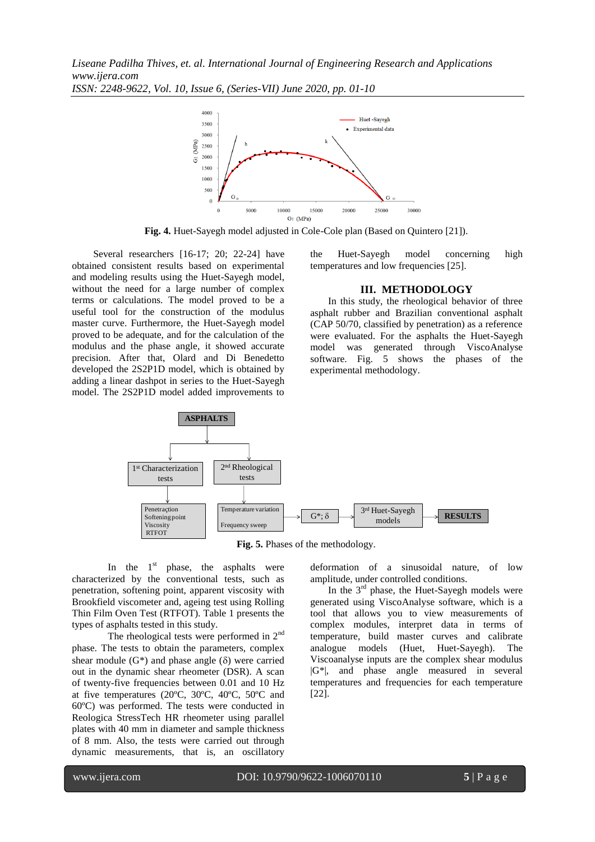*Liseane Padilha Thives, et. al. International Journal of Engineering Research and Applications www.ijera.com ISSN: 2248-9622, Vol. 10, Issue 6, (Series-VII) June 2020, pp. 01-10*



**Fig. 4.** Huet-Sayegh model adjusted in Cole-Cole plan (Based on Quintero [21]).

Several researchers [16-17; 20; 22-24] have obtained consistent results based on experimental and modeling results using the Huet-Sayegh model, without the need for a large number of complex terms or calculations. The model proved to be a useful tool for the construction of the modulus master curve. Furthermore, the Huet-Sayegh model proved to be adequate, and for the calculation of the modulus and the phase angle, it showed accurate precision. After that, Olard and Di Benedetto developed the 2S2P1D model, which is obtained by adding a linear dashpot in series to the Huet-Sayegh model. The 2S2P1D model added improvements to the Huet-Sayegh model concerning high temperatures and low frequencies [25].

#### **III. METHODOLOGY**

In this study, the rheological behavior of three asphalt rubber and Brazilian conventional asphalt (CAP 50/70, classified by penetration) as a reference were evaluated. For the asphalts the Huet-Sayegh model was generated through ViscoAnalyse software. Fig. 5 shows the phases of the experimental methodology.



**Fig. 5.** Phases of the methodology.

In the  $1<sup>st</sup>$  phase, the asphalts were characterized by the conventional tests, such as penetration, softening point, apparent viscosity with Brookfield viscometer and, ageing test using Rolling Thin Film Oven Test (RTFOT). Table 1 presents the types of asphalts tested in this study.

The rheological tests were performed in  $2<sup>nd</sup>$ phase. The tests to obtain the parameters, complex shear module  $(G^*)$  and phase angle  $(\delta)$  were carried out in the dynamic shear rheometer (DSR). A scan of twenty-five frequencies between 0.01 and 10 Hz at five temperatures (20ºC, 30ºC, 40ºC, 50ºC and 60ºC) was performed. The tests were conducted in Reologica StressTech HR rheometer using parallel plates with 40 mm in diameter and sample thickness of 8 mm. Also, the tests were carried out through dynamic measurements, that is, an oscillatory deformation of a sinusoidal nature, of low amplitude, under controlled conditions.

In the  $3<sup>rd</sup>$  phase, the Huet-Sayegh models were generated using ViscoAnalyse software, which is a tool that allows you to view measurements of complex modules, interpret data in terms of temperature, build master curves and calibrate analogue models (Huet, Huet-Sayegh). The Viscoanalyse inputs are the complex shear modulus |G\*|, and phase angle measured in several temperatures and frequencies for each temperature [22].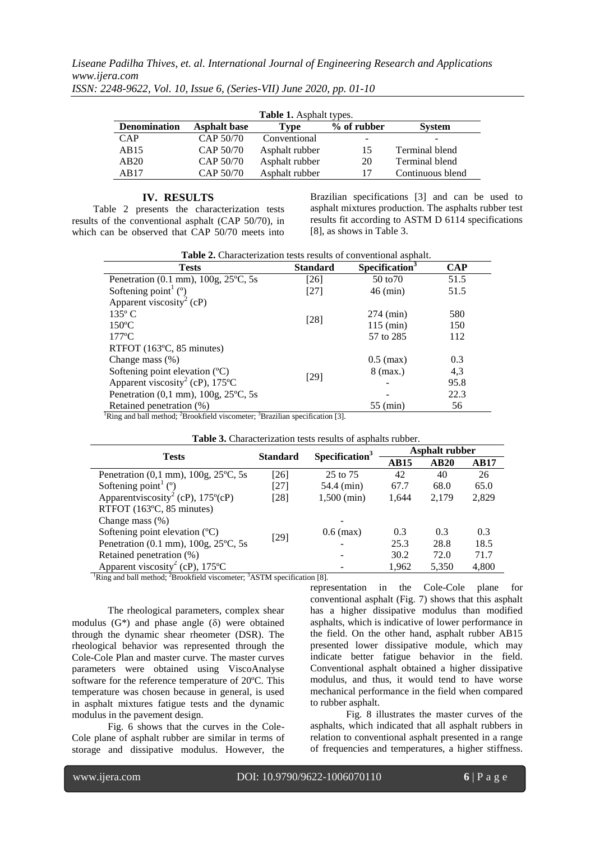| <b>Table 1.</b> Asphalt types. |                     |                |                          |                  |  |
|--------------------------------|---------------------|----------------|--------------------------|------------------|--|
| <b>Denomination</b>            | <b>Asphalt</b> base | Type           | % of rubber              | <b>System</b>    |  |
| <b>CAP</b>                     | CAP 50/70           | Conventional   | $\overline{\phantom{0}}$ |                  |  |
| AB15                           | CAP 50/70           | Asphalt rubber | 15                       | Terminal blend   |  |
| AB20                           | CAP 50/70           | Asphalt rubber | 20                       | Terminal blend   |  |
| AB17                           | CAP 50/70           | Asphalt rubber | 17                       | Continuous blend |  |

*ISSN: 2248-9622, Vol. 10, Issue 6, (Series-VII) June 2020, pp. 01-10*

#### **IV. RESULTS**

Table 2 presents the characterization tests results of the conventional asphalt (CAP 50/70), in which can be observed that CAP 50/70 meets into

Brazilian specifications [3] and can be used to asphalt mixtures production. The asphalts rubber test results fit according to ASTM D 6114 specifications [8], as shows in Table 3.

| Table 2. Characterization tests results of conventional asphalt.                                                                                 |                 |                            |      |  |  |
|--------------------------------------------------------------------------------------------------------------------------------------------------|-----------------|----------------------------|------|--|--|
| <b>Tests</b>                                                                                                                                     | <b>Standard</b> | Specification <sup>3</sup> | CAP  |  |  |
| Penetration (0.1 mm), 100g, 25°C, 5s                                                                                                             | [26]            | 50 to 70                   | 51.5 |  |  |
| Softening point $(°)$                                                                                                                            | $[27]$          | $46$ (min)                 | 51.5 |  |  |
| Apparent viscosity <sup>2</sup> (cP)                                                                                                             |                 |                            |      |  |  |
| $135^{\circ}$ C                                                                                                                                  | $[28]$          | $274$ (min)                | 580  |  |  |
| $150^{\circ}$ C                                                                                                                                  |                 | $115$ (min)                | 150  |  |  |
| $177^{\circ}$ C                                                                                                                                  |                 | 57 to 285                  | 112  |  |  |
| RTFOT (163°C, 85 minutes)                                                                                                                        |                 |                            |      |  |  |
| Change mass $(\%)$                                                                                                                               |                 | $0.5$ (max)                | 0.3  |  |  |
| Softening point elevation $(^{\circ}C)$                                                                                                          |                 | $8$ (max.)                 | 4,3  |  |  |
| Apparent viscosity <sup>2</sup> (cP), $175^{\circ}$ C                                                                                            | $[29]$          |                            | 95.8 |  |  |
| Penetration $(0,1 \text{ mm})$ , $100g$ , $25^{\circ}C$ , 5s                                                                                     |                 |                            | 22.3 |  |  |
| Retained penetration (%)<br>$\frac{1}{2}$ Pine and hall mathed: $\frac{2}{5}$ Presidential via comptant $\frac{3}{5}$ President and fination [2] |                 | 55 (min)                   | 56   |  |  |

<sup>1</sup>Ring and ball method; <sup>2</sup>Brookfield viscometer; <sup>3</sup>Brazilian specification [3].

| <b>Tests</b>                                                   | <b>Standard</b> | Specification <sup>3</sup> | <b>Asphalt rubber</b> |       |             |
|----------------------------------------------------------------|-----------------|----------------------------|-----------------------|-------|-------------|
|                                                                |                 |                            | <b>AB15</b>           | AB20  | <b>AB17</b> |
| Penetration $(0,1 \text{ mm})$ , $100g$ , $25^{\circ}$ C, $5s$ | [26]            | 25 to 75                   | 42                    | 40    | 26          |
| Softening point $(°)$                                          | [27]            | 54.4 (min)                 | 67.7                  | 68.0  | 65.0        |
| Apparenty is cosity <sup>2</sup> (cP), $175^{\circ}$ (cP)      | [28]            | $1,500$ (min)              | 1,644                 | 2,179 | 2,829       |
| RTFOT (163°C, 85 minutes)                                      |                 |                            |                       |       |             |
| Change mass $(\%)$                                             |                 |                            |                       |       |             |
| Softening point elevation $(^{\circ}C)$                        |                 | $0.6$ (max)                | 0.3                   | 0.3   | 0.3         |
| Penetration (0.1 mm), 100g, 25°C, 5s                           | $[29]$          |                            | 25.3                  | 28.8  | 18.5        |
| Retained penetration (%)                                       |                 |                            | 30.2                  | 72.0  | 71.7        |
| Apparent viscosity <sup>2</sup> (cP), $175^{\circ}$ C          | 2.11            |                            | 1,962                 | 5,350 | 4,800       |

**Table 3.** Characterization tests results of asphalts rubber.

<sup>1</sup>Ring and ball method; <sup>2</sup>Brookfield viscometer; <sup>3</sup>ASTM specification [8].

The rheological parameters, complex shear modulus  $(G^*)$  and phase angle  $(\delta)$  were obtained through the dynamic shear rheometer (DSR). The rheological behavior was represented through the Cole-Cole Plan and master curve. The master curves parameters were obtained using ViscoAnalyse software for the reference temperature of 20ºC. This temperature was chosen because in general, is used in asphalt mixtures fatigue tests and the dynamic modulus in the pavement design.

Fig. 6 shows that the curves in the Cole-Cole plane of asphalt rubber are similar in terms of storage and dissipative modulus. However, the

representation in the Cole-Cole plane for conventional asphalt (Fig. 7) shows that this asphalt has a higher dissipative modulus than modified asphalts, which is indicative of lower performance in the field. On the other hand, asphalt rubber AB15 presented lower dissipative module, which may indicate better fatigue behavior in the field. Conventional asphalt obtained a higher dissipative modulus, and thus, it would tend to have worse mechanical performance in the field when compared to rubber asphalt.

Fig. 8 illustrates the master curves of the asphalts, which indicated that all asphalt rubbers in relation to conventional asphalt presented in a range of frequencies and temperatures, a higher stiffness.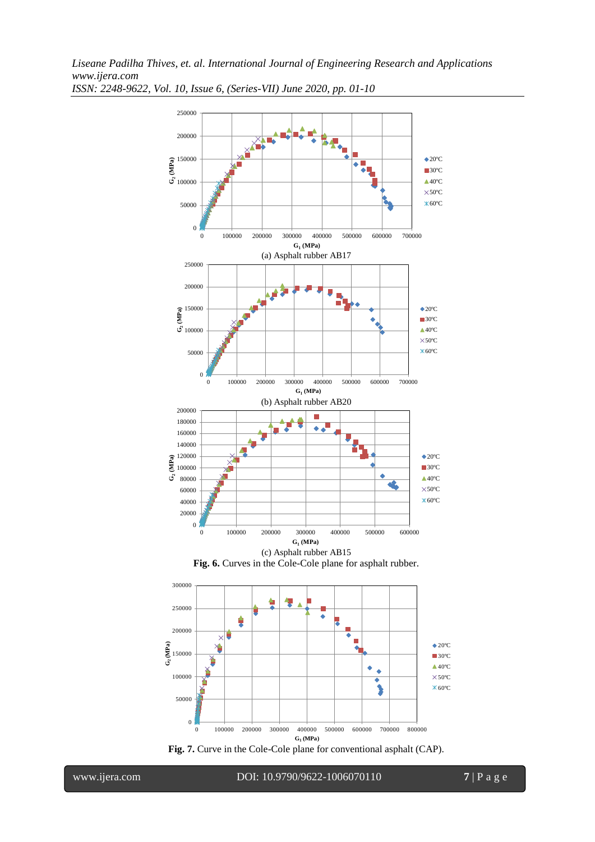

*ISSN: 2248-9622, Vol. 10, Issue 6, (Series-VII) June 2020, pp. 01-10*





www.ijera.com DOI: 10.9790/9622-1006070110 **7** | P a g e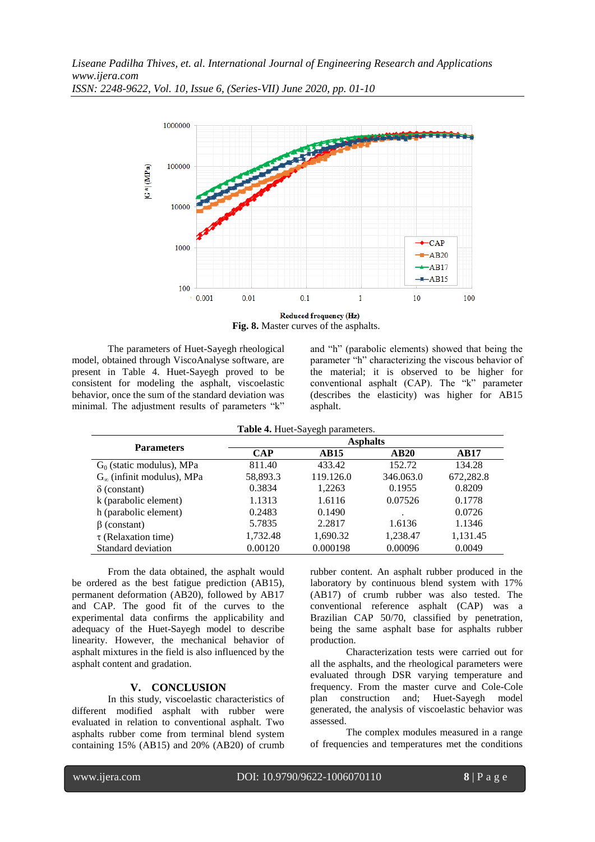

Reduced frequency (Hz) **Fig. 8.** Master curves of the asphalts.

The parameters of Huet-Sayegh rheological model, obtained through ViscoAnalyse software, are present in Table 4. Huet-Sayegh proved to be consistent for modeling the asphalt, viscoelastic behavior, once the sum of the standard deviation was minimal. The adjustment results of parameters "k"

and "h" (parabolic elements) showed that being the parameter "h" characterizing the viscous behavior of the material; it is observed to be higher for conventional asphalt (CAP). The "k" parameter (describes the elasticity) was higher for AB15 asphalt.

|                                     | Table 4. Huet-Sayegh parameters.<br><b>Asphalts</b> |             |           |             |  |  |
|-------------------------------------|-----------------------------------------------------|-------------|-----------|-------------|--|--|
| <b>Parameters</b>                   | <b>CAP</b>                                          | <b>AB15</b> | AB20      | <b>AB17</b> |  |  |
| $G_0$ (static modulus), MPa         | 811.40                                              | 433.42      | 152.72    | 134.28      |  |  |
| $G_{\infty}$ (infinit modulus), MPa | 58,893.3                                            | 119.126.0   | 346.063.0 | 672,282.8   |  |  |
| $\delta$ (constant)                 | 0.3834                                              | 1,2263      | 0.1955    | 0.8209      |  |  |
| k (parabolic element)               | 1.1313                                              | 1.6116      | 0.07526   | 0.1778      |  |  |
| h (parabolic element)               | 0.2483                                              | 0.1490      |           | 0.0726      |  |  |
| $\beta$ (constant)                  | 5.7835                                              | 2.2817      | 1.6136    | 1.1346      |  |  |
| $\tau$ (Relaxation time)            | 1,732.48                                            | 1,690.32    | 1,238.47  | 1,131.45    |  |  |
| Standard deviation                  | 0.00120                                             | 0.000198    | 0.00096   | 0.0049      |  |  |

From the data obtained, the asphalt would be ordered as the best fatigue prediction (AB15), permanent deformation (AB20), followed by AB17 and CAP. The good fit of the curves to the experimental data confirms the applicability and adequacy of the Huet-Sayegh model to describe linearity. However, the mechanical behavior of asphalt mixtures in the field is also influenced by the asphalt content and gradation.

### **V. CONCLUSION**

In this study, viscoelastic characteristics of different modified asphalt with rubber were evaluated in relation to conventional asphalt. Two asphalts rubber come from terminal blend system containing 15% (AB15) and 20% (AB20) of crumb rubber content. An asphalt rubber produced in the laboratory by continuous blend system with 17% (AB17) of crumb rubber was also tested. The conventional reference asphalt (CAP) was a Brazilian CAP 50/70, classified by penetration, being the same asphalt base for asphalts rubber production.

Characterization tests were carried out for all the asphalts, and the rheological parameters were evaluated through DSR varying temperature and frequency. From the master curve and Cole-Cole plan construction and; Huet-Sayegh model generated, the analysis of viscoelastic behavior was assessed.

The complex modules measured in a range of frequencies and temperatures met the conditions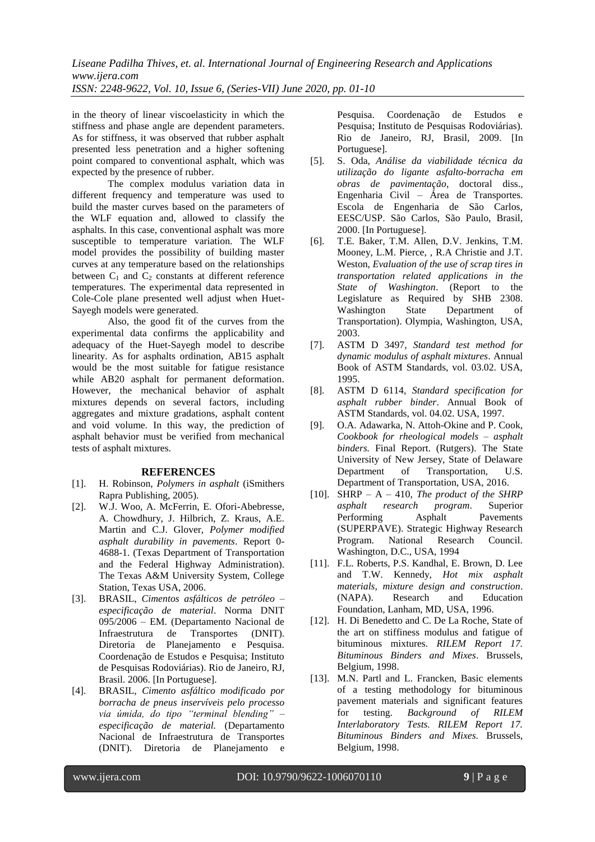*Liseane Padilha Thives, et. al. International Journal of Engineering Research and Applications www.ijera.com ISSN: 2248-9622, Vol. 10, Issue 6, (Series-VII) June 2020, pp. 01-10*

in the theory of linear viscoelasticity in which the stiffness and phase angle are dependent parameters. As for stiffness, it was observed that rubber asphalt presented less penetration and a higher softening point compared to conventional asphalt, which was expected by the presence of rubber.

The complex modulus variation data in different frequency and temperature was used to build the master curves based on the parameters of the WLF equation and, allowed to classify the asphalts. In this case, conventional asphalt was more susceptible to temperature variation. The WLF model provides the possibility of building master curves at any temperature based on the relationships between  $C_1$  and  $C_2$  constants at different reference temperatures. The experimental data represented in Cole-Cole plane presented well adjust when Huet-Sayegh models were generated.

Also, the good fit of the curves from the experimental data confirms the applicability and adequacy of the Huet-Sayegh model to describe linearity. As for asphalts ordination, AB15 asphalt would be the most suitable for fatigue resistance while AB20 asphalt for permanent deformation. However, the mechanical behavior of asphalt mixtures depends on several factors, including aggregates and mixture gradations, asphalt content and void volume. In this way, the prediction of asphalt behavior must be verified from mechanical tests of asphalt mixtures.

#### **REFERENCES**

- [1]. H. Robinson, *Polymers in asphalt* (iSmithers Rapra Publishing, 2005).
- [2]. W.J. Woo, A. McFerrin, E. Ofori-Abebresse, A. Chowdhury, J. Hilbrich, Z. Kraus, A.E. Martin and C.J. Glover, *Polymer modified asphalt durability in pavements*. Report 0- 4688-1. (Texas Department of Transportation and the Federal Highway Administration). The Texas A&M University System, College Station, Texas USA, 2006.
- [3]. BRASIL, *Cimentos asfálticos de petróleo – especificação de material*. Norma DNIT 095/2006 – EM. (Departamento Nacional de Infraestrutura de Transportes (DNIT). Diretoria de Planejamento e Pesquisa. Coordenação de Estudos e Pesquisa; Instituto de Pesquisas Rodoviárias). Rio de Janeiro, RJ, Brasil. 2006. [In Portuguese].
- [4]. BRASIL, *Cimento asfáltico modificado por borracha de pneus inservíveis pelo processo via úmida, do tipo "terminal blending" – especificação de material.* (Departamento Nacional de Infraestrutura de Transportes (DNIT). Diretoria de Planejamento e

Pesquisa. Coordenação de Estudos e Pesquisa; Instituto de Pesquisas Rodoviárias). Rio de Janeiro, RJ, Brasil, 2009. [In Portuguese].

- [5]. S. Oda, *Análise da viabilidade técnica da utilização do ligante asfalto-borracha em obras de pavimentação*, doctoral diss., Engenharia Civil – Área de Transportes. Escola de Engenharia de São Carlos, EESC/USP. São Carlos, São Paulo, Brasil, 2000. [In Portuguese].
- [6]. T.E. Baker, T.M. Allen, D.V. Jenkins, T.M. Mooney, L.M. Pierce, , R.A Christie and J.T. Weston, *Evaluation of the use of scrap tires in transportation related applications in the State of Washington*. (Report to the Legislature as Required by SHB 2308. Washington State Department of Transportation). Olympia, Washington, USA, 2003.
- [7]. ASTM D 3497, *Standard test method for dynamic modulus of asphalt mixtures*. Annual Book of ASTM Standards, vol. 03.02. USA, 1995.
- [8]. ASTM D 6114, *Standard specification for asphalt rubber binder*. Annual Book of ASTM Standards, vol. 04.02. USA, 1997.
- [9]. O.A. Adawarka, N. Attoh-Okine and P. Cook, *Cookbook for rheological models – asphalt binders.* Final Report. (Rutgers). The State University of New Jersey, State of Delaware Department of Transportation, U.S. Department of Transportation, USA, 2016.
- [10]. SHRP A 410, *The product of the SHRP asphalt research program*. Superior Performing Asphalt Pavements (SUPERPAVE). Strategic Highway Research Program. National Research Council. Washington, D.C., USA, 1994
- [11]. F.L. Roberts, P.S. Kandhal, E. Brown, D. Lee and T.W. Kennedy, *Hot mix asphalt materials, mixture design and construction*. (NAPA). Research and Education Foundation, Lanham, MD, USA, 1996.
- [12]. H. Di Benedetto and C. De La Roche, State of the art on stiffiness modulus and fatigue of bituminous mixtures. *RILEM Report 17. Bituminous Binders and Mixes*. Brussels, Belgium, 1998.
- [13]. M.N. Partl and L. Francken, Basic elements of a testing methodology for bituminous pavement materials and significant features for testing. *Background of RILEM Interlaboratory Tests. RILEM Report 17. Bituminous Binders and Mixes.* Brussels, Belgium, 1998.